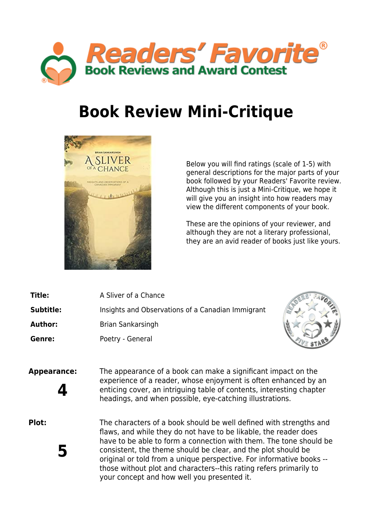

## **Book Review Mini-Critique**



Below you will find ratings (scale of 1-5) with general descriptions for the major parts of your book followed by your Readers' Favorite review. Although this is just a Mini-Critique, we hope it will give you an insight into how readers may view the different components of your book.

These are the opinions of your reviewer, and although they are not a literary professional, they are an avid reader of books just like yours.

- **Title:** A Sliver of a Chance **Subtitle:** Insights and Observations of a Canadian Immigrant
- **Author:** Brian Sankarsingh

Genre: Poetry - General



**Appearance:** The appearance of a book can make a significant impact on the experience of a reader, whose enjoyment is often enhanced by an enticing cover, an intriguing table of contents, interesting chapter<br>headings, and when possible, eye-catching illustrations.

**5**

**Plot:** The characters of a book should be well defined with strengths and flaws, and while they do not have to be likable, the reader does have to be able to form a connection with them. The tone should be consistent, the theme should be clear, and the plot should be original or told from a unique perspective. For informative books - those without plot and characters--this rating refers primarily to your concept and how well you presented it.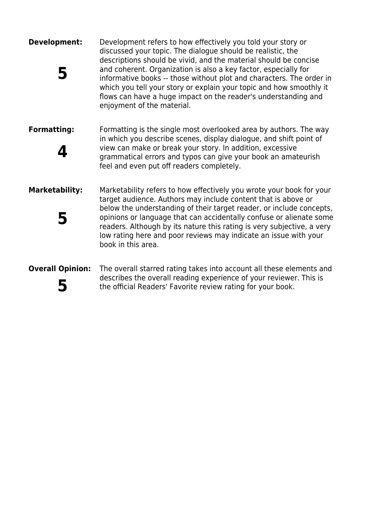| Development:            | Development refers to how effectively you told your story or<br>discussed your topic. The dialogue should be realistic, the<br>descriptions should be vivid, and the material should be concise<br>and coherent. Organization is also a key factor, especially for<br>informative books -- those without plot and characters. The order in<br>which you tell your story or explain your topic and how smoothly it<br>flows can have a huge impact on the reader's understanding and<br>enjoyment of the material. |
|-------------------------|-------------------------------------------------------------------------------------------------------------------------------------------------------------------------------------------------------------------------------------------------------------------------------------------------------------------------------------------------------------------------------------------------------------------------------------------------------------------------------------------------------------------|
| <b>Formatting:</b>      | Formatting is the single most overlooked area by authors. The way<br>in which you describe scenes, display dialogue, and shift point of<br>view can make or break your story. In addition, excessive<br>grammatical errors and typos can give your book an amateurish<br>feel and even put off readers completely.                                                                                                                                                                                                |
| <b>Marketability:</b>   | Marketability refers to how effectively you wrote your book for your<br>target audience. Authors may include content that is above or<br>below the understanding of their target reader, or include concepts,<br>opinions or language that can accidentally confuse or alienate some<br>readers. Although by its nature this rating is very subjective, a very<br>low rating here and poor reviews may indicate an issue with your<br>book in this area.                                                          |
| <b>Overall Opinion:</b> | The overall starred rating takes into account all these elements and<br>describes the overall reading experience of your reviewer. This is<br>the official Readers' Favorite review rating for your book.                                                                                                                                                                                                                                                                                                         |